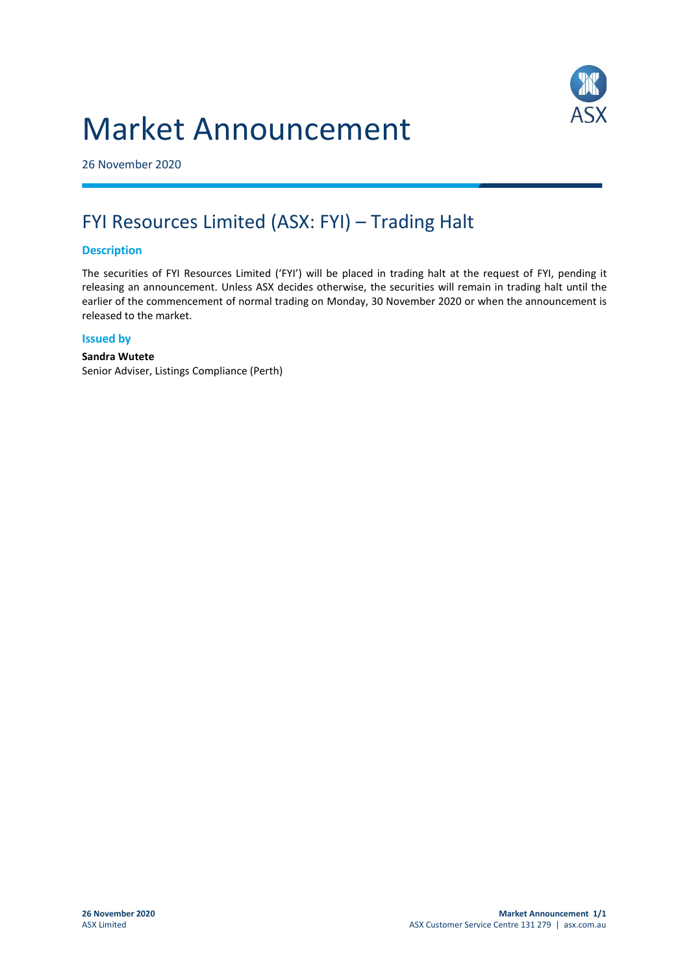# Market Announcement



26 November 2020

## FYI Resources Limited (ASX: FYI) – Trading Halt

#### **Description**

The securities of FYI Resources Limited ('FYI') will be placed in trading halt at the request of FYI, pending it releasing an announcement. Unless ASX decides otherwise, the securities will remain in trading halt until the earlier of the commencement of normal trading on Monday, 30 November 2020 or when the announcement is released to the market.

#### **Issued by**

#### **Sandra Wutete**

Senior Adviser, Listings Compliance (Perth)